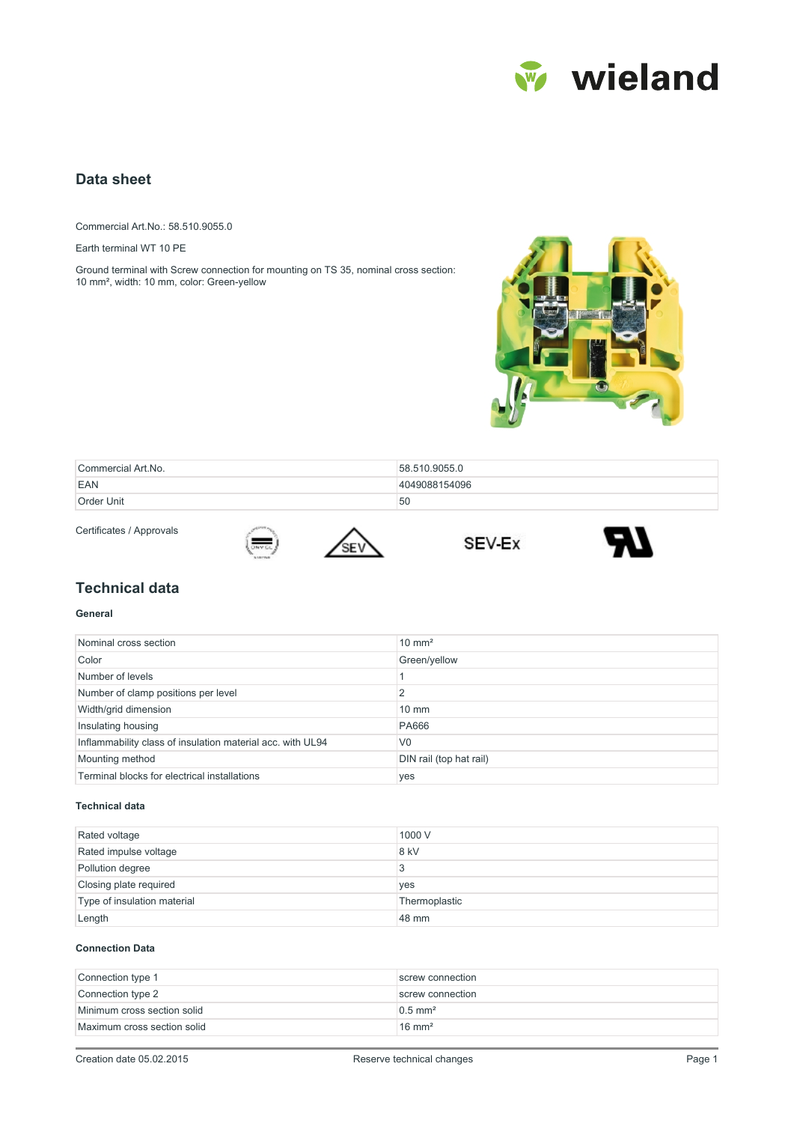

# **Data sheet**

Commercial Art.No.: 58.510.9055.0

Earth terminal WT 10 PE

Ground terminal with Screw connection for mounting on TS 35, nominal cross section: 10 mm², width: 10 mm, color: Green-yellow



| Commercial Art.No. | 58.510.9055.0 |
|--------------------|---------------|
| EAN                | 4049088154096 |
| Order Unit         | 50            |

Certificates / Approvals



SEV Ex



## **Technical data**

#### **General**

| Nominal cross section                                      | $10 \text{ mm}^2$       |
|------------------------------------------------------------|-------------------------|
| Color                                                      | Green/yellow            |
| Number of levels                                           |                         |
| Number of clamp positions per level                        | 2                       |
| Width/grid dimension                                       | $10 \text{ mm}$         |
| Insulating housing                                         | <b>PA666</b>            |
| Inflammability class of insulation material acc. with UL94 | V <sub>0</sub>          |
| Mounting method                                            | DIN rail (top hat rail) |
| Terminal blocks for electrical installations               | yes                     |

### **Technical data**

| Rated voltage               | 1000 V        |
|-----------------------------|---------------|
| Rated impulse voltage       | 8 kV          |
| Pollution degree            |               |
| Closing plate required      | yes           |
| Type of insulation material | Thermoplastic |
| Length                      | 48 mm         |

#### **Connection Data**

| Connection type 1           | screw connection      |
|-----------------------------|-----------------------|
| Connection type 2           | screw connection      |
| Minimum cross section solid | $0.5$ mm <sup>2</sup> |
| Maximum cross section solid | $16 \text{ mm}^2$     |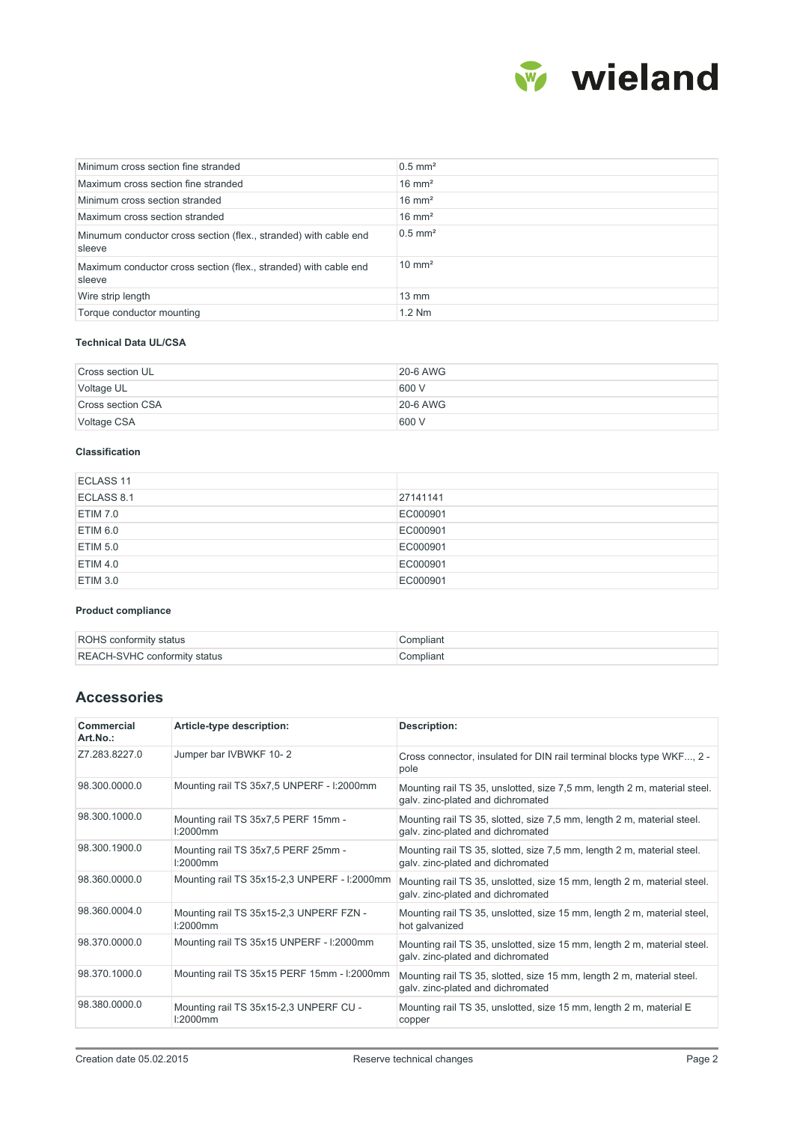

| Minimum cross section fine stranded                                        | $0.5$ mm <sup>2</sup> |
|----------------------------------------------------------------------------|-----------------------|
| Maximum cross section fine stranded                                        | $16 \text{ mm}^2$     |
| Minimum cross section stranded                                             | $16 \text{ mm}^2$     |
| Maximum cross section stranded                                             | $16 \text{ mm}^2$     |
| Minumum conductor cross section (flex., stranded) with cable end<br>sleeve | $0.5$ mm <sup>2</sup> |
| Maximum conductor cross section (flex., stranded) with cable end<br>sleeve | $10 \text{ mm}^2$     |
| Wire strip length                                                          | $13 \text{ mm}$       |
| Torque conductor mounting                                                  | $1.2$ Nm              |

### **Technical Data UL/CSA**

| Cross section UL  | <b>20-6 AWG</b> |
|-------------------|-----------------|
| Voltage UL        | 600 V           |
| Cross section CSA | $20-6$ AWG      |
| Voltage CSA       | 600 V           |

## **Classification**

| ECLASS <sub>11</sub> |          |
|----------------------|----------|
| ECLASS 8.1           | 27141141 |
| ETIM 7.0             | EC000901 |
| ETIM 6.0             | EC000901 |
| ETIM 5.0             | EC000901 |
| ETIM 4.0             | EC000901 |
| ETIM 3.0             | EC000901 |

#### **Product compliance**

| <b>ROHS</b> conformity status       | Compliant |
|-------------------------------------|-----------|
| <b>REACH-SVHC conformity status</b> | Compliant |

# **Accessories**

| Commercial<br>Art.No.: | Article-type description:                              | Description:                                                                                                  |
|------------------------|--------------------------------------------------------|---------------------------------------------------------------------------------------------------------------|
| Z7.283.8227.0          | Jumper bar IVBWKF 10-2                                 | Cross connector, insulated for DIN rail terminal blocks type WKF, 2 -<br>pole                                 |
| 98.300.0000.0          | Mounting rail TS 35x7,5 UNPERF - I:2000mm              | Mounting rail TS 35, unslotted, size 7,5 mm, length 2 m, material steel.<br>galv. zinc-plated and dichromated |
| 98.300.1000.0          | Mounting rail TS 35x7,5 PERF 15mm -<br>$1:2000$ mm     | Mounting rail TS 35, slotted, size 7,5 mm, length 2 m, material steel.<br>galv. zinc-plated and dichromated   |
| 98.300.1900.0          | Mounting rail TS 35x7,5 PERF 25mm -<br>$1:2000$ mm     | Mounting rail TS 35, slotted, size 7,5 mm, length 2 m, material steel.<br>galv. zinc-plated and dichromated   |
| 98.360.0000.0          | Mounting rail TS 35x15-2,3 UNPERF - I:2000mm           | Mounting rail TS 35, unslotted, size 15 mm, length 2 m, material steel.<br>galv. zinc-plated and dichromated  |
| 98.360.0004.0          | Mounting rail TS 35x15-2,3 UNPERF FZN -<br>$1:2000$ mm | Mounting rail TS 35, unslotted, size 15 mm, length 2 m, material steel,<br>hot galvanized                     |
| 98.370.0000.0          | Mounting rail TS 35x15 UNPERF - I:2000mm               | Mounting rail TS 35, unslotted, size 15 mm, length 2 m, material steel.<br>galv. zinc-plated and dichromated  |
| 98.370.1000.0          | Mounting rail TS 35x15 PERF 15mm - I:2000mm            | Mounting rail TS 35, slotted, size 15 mm, length 2 m, material steel.<br>galv. zinc-plated and dichromated    |
| 98.380.0000.0          | Mounting rail TS 35x15-2,3 UNPERF CU -<br>$1:2000$ mm  | Mounting rail TS 35, unslotted, size 15 mm, length 2 m, material E<br>copper                                  |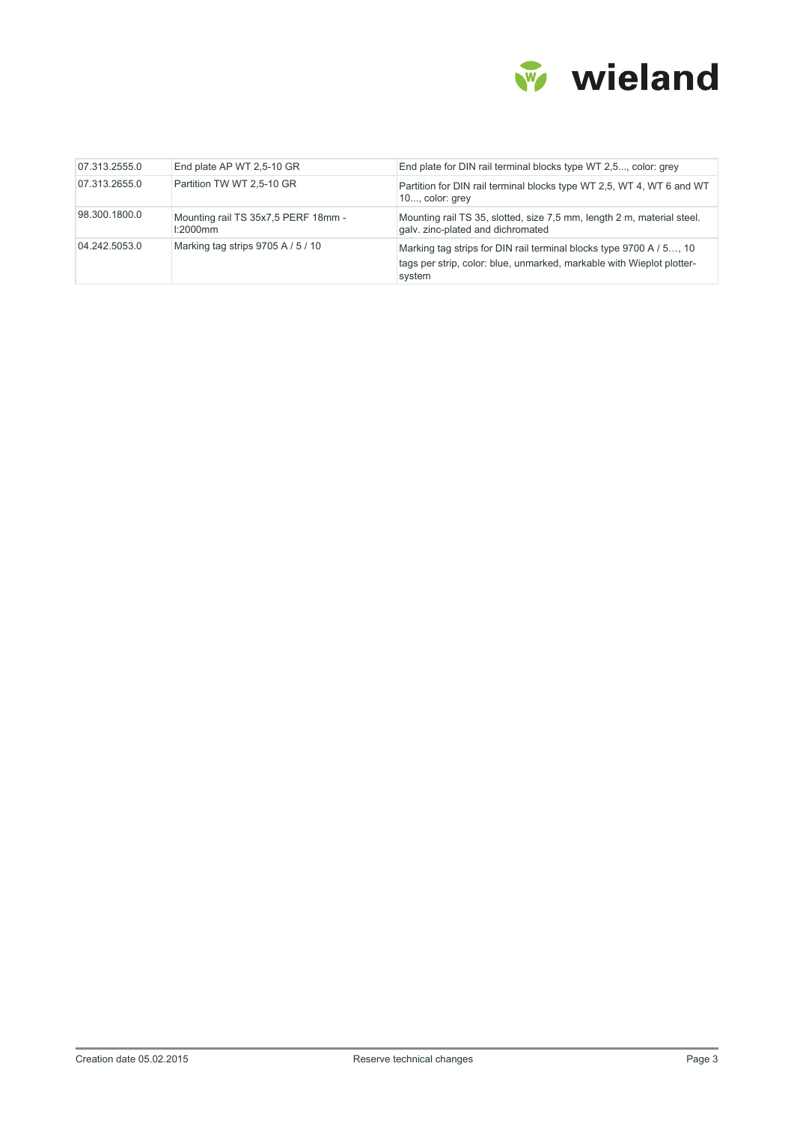

| 07.313.2555.0 | End plate AP WT 2,5-10 GR                          | End plate for DIN rail terminal blocks type WT 2,5, color: grey                                                                                        |
|---------------|----------------------------------------------------|--------------------------------------------------------------------------------------------------------------------------------------------------------|
| 07.313.2655.0 | Partition TW WT 2,5-10 GR                          | Partition for DIN rail terminal blocks type WT 2.5, WT 4, WT 6 and WT<br>10, color: grey                                                               |
| 98.300.1800.0 | Mounting rail TS 35x7,5 PERF 18mm -<br>$1:2000$ mm | Mounting rail TS 35, slotted, size 7,5 mm, length 2 m, material steel.<br>galv. zinc-plated and dichromated                                            |
| 04.242.5053.0 | Marking tag strips 9705 A / 5 / 10                 | Marking tag strips for DIN rail terminal blocks type 9700 A / 5, 10<br>tags per strip, color: blue, unmarked, markable with Wieplot plotter-<br>system |